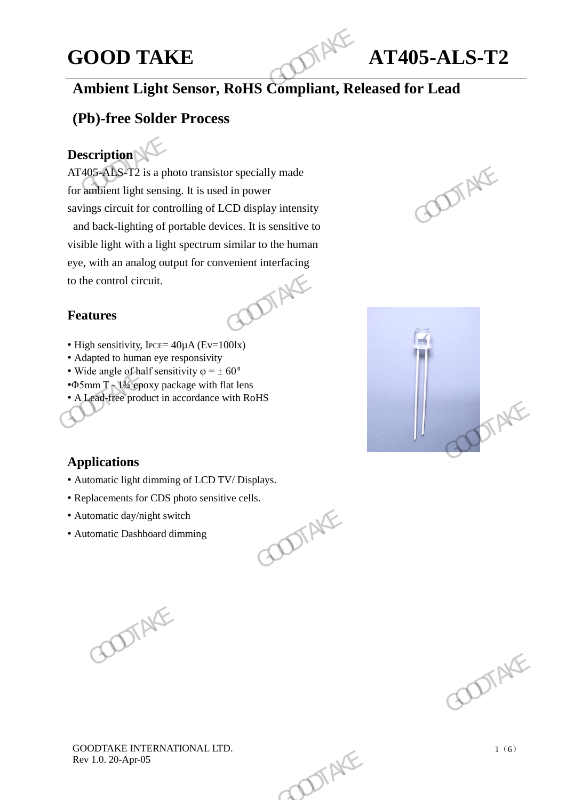# **GOOD TAKE AT405-ALS-T2**

# **Ambient Light Sensor, RoHS Compliant, Released for Lead**

# **(Pb)-free Solder Process**

# **Description**

 $AT405 - ALS - T2$  is a photo transistor specially made for ambient light sensing. It is used in power savings circuit for controlling of LCD display intensity and back-lighting of portable devices. It is sensitive to visible light with a light spectrum similar to the human eye, with an analog output for convenient interfacing<br>to the control circuit.<br>**Features** to the control circuit. **GOOD TAKE**<br> **Ambient Light Sensor, RoHS Compliant, Rel**<br> **(Pb)-free Solder Process**<br> **Description**<br>
AT405-ALS-T2 is a photo transistor specially made<br>
for ambient light sensing. It is used in power<br>
savings circuit for co AT405-ADS-T2 is a photo transistor specially made<br>for ambient light sensing. It is used in power<br>savings circuit for controlling of LCD display intensity<br>and back-lighting of portable devices. It is sensitive to<br>visible l

### **Features**

- High sensitivity, IPCE=  $40 \mu A$  (Ev=100lx)
- Adapted to human eye responsivity
- Wide angle of half sensitivity  $\varphi = \pm 60^\circ$
- •Φ5mm T 1¾ epoxy package with flat lens
- A Lead-free product in accordance with RoHS





### **Applications**

- Automatic light dimming of LCD TV/ Displays.
- Replacements for CDS photo sensitive cells.<br>• Automatic day/night switch<br>• Automatic Dashboard dimming
- Automatic day/night switch
- Automatic Dashboard dimming

GOODTAKE GOOTAKE



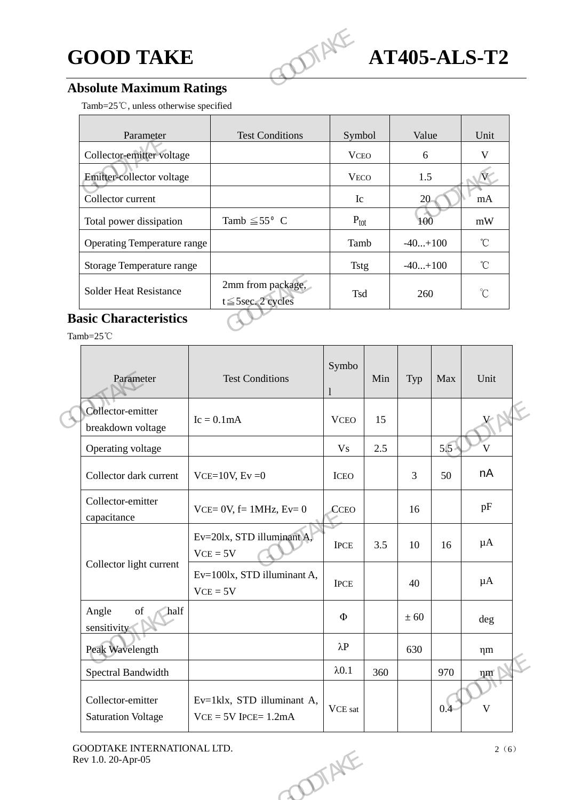

# **Absolute Maximum Ratings**

|                                                                    | <b>GOOD TAKE</b> |                                               |                  |     |              | TIANE<br><b>AT405-ALS-T2</b> |                         |  |  |  |  |
|--------------------------------------------------------------------|------------------|-----------------------------------------------|------------------|-----|--------------|------------------------------|-------------------------|--|--|--|--|
| <b>Absolute Maximum Ratings</b>                                    |                  |                                               |                  |     |              |                              |                         |  |  |  |  |
| Tamb=25℃, unless otherwise specified                               |                  |                                               |                  |     |              |                              |                         |  |  |  |  |
| Parameter                                                          |                  | <b>Test Conditions</b>                        | Symbol           |     | Value        |                              | Unit                    |  |  |  |  |
| Collector-emitter voltage                                          |                  |                                               | <b>VCEO</b>      |     | 6            |                              | $\mathbf V$             |  |  |  |  |
| Emitter-collector voltage                                          |                  |                                               | <b>VECO</b>      |     | 1.5          |                              | $\mathbf{W}$            |  |  |  |  |
| Collector current                                                  |                  |                                               | Ic               |     | 20           |                              | mA                      |  |  |  |  |
| Total power dissipation                                            |                  | Tamb $\leq 55^{\circ}$ C                      | $P_{\text{tot}}$ |     | 100          |                              | mW                      |  |  |  |  |
| <b>Operating Temperature range</b>                                 |                  |                                               | Tamb             |     | $-40+100$    |                              | $^{\circ}$ C            |  |  |  |  |
| Storage Temperature range                                          |                  |                                               | <b>Tstg</b>      |     | $-40+100$    |                              | $\mathrm{C}$            |  |  |  |  |
| <b>Solder Heat Resistance</b>                                      |                  | 2mm from package,<br>$t \leq 5$ sec. 2 cycles | Tsd              |     | 260          |                              | $^{\circ}C$             |  |  |  |  |
| <b>Basic Characteristics</b><br>Tamb=25°C                          |                  |                                               |                  |     |              |                              |                         |  |  |  |  |
| Parameter                                                          |                  | <b>Test Conditions</b>                        | Symbo            | Min | Typ          | Max                          | Unit                    |  |  |  |  |
| Collector-emitter<br>breakdown voltage                             |                  | $Ic = 0.1mA$                                  | <b>VCEO</b>      | 15  |              |                              |                         |  |  |  |  |
| Operating voltage                                                  |                  |                                               | <b>Vs</b>        | 2.5 |              | 5.5                          | $\overline{\mathsf{V}}$ |  |  |  |  |
| $C_0$ llector dark current $\frac{1}{2}$ VCE-10V E <sub>V</sub> -0 |                  |                                               | ICDO             |     | $\mathbf{R}$ | 50                           | nA                      |  |  |  |  |

# **Basic Characteristics**

| Parameter                                                                                                                          | <b>Test Conditions</b>                               | Symbo                         | Min | Typ  | Max | Unit         |  |
|------------------------------------------------------------------------------------------------------------------------------------|------------------------------------------------------|-------------------------------|-----|------|-----|--------------|--|
| Collector-emitter<br>breakdown voltage                                                                                             | $Ic = 0.1mA$                                         | <b>VCEO</b>                   | 15  |      |     | XN           |  |
| Operating voltage                                                                                                                  |                                                      | <b>Vs</b>                     | 2.5 |      | 5.5 | V            |  |
| Collector dark current                                                                                                             | $VCE=10V, Ev=0$                                      | <b>ICEO</b>                   |     | 3    | 50  | nA           |  |
| Collector-emitter<br>capacitance                                                                                                   | $VCE = 0V$ , $f = 1MHz$ , $Ev = 0$                   | CCEO                          |     | 16   |     | pF           |  |
|                                                                                                                                    | Ev=20lx, STD illuminant A,<br>$VCE = 5V$             | <b>IPCE</b>                   | 3.5 | 10   | 16  | μA           |  |
| Collector light current                                                                                                            | Ev=100lx, STD illuminant A,<br>$VCE = 5V$            | <b>IPCE</b>                   |     | 40   |     | μA           |  |
| Angle<br>$% \left( \left( \mathcal{A},\mathcal{A}\right) \right) =\left( \mathcal{A},\mathcal{A}\right)$ of<br>half<br>sensitivity |                                                      | $\Phi$                        |     | ± 60 |     | deg          |  |
| Peak Wavelength                                                                                                                    |                                                      | $\lambda P$                   |     | 630  |     | $\eta$ m     |  |
| Spectral Bandwidth                                                                                                                 |                                                      | $\lambda$ 0.1                 | 360 |      | 970 | nm           |  |
| Collector-emitter<br><b>Saturation Voltage</b>                                                                                     | Ev=1klx, STD illuminant A,<br>$VCE = 5V$ IPCE= 1.2mA | $\ensuremath{\text{VCE}}$ sat |     |      | 0.4 | $\mathbf{V}$ |  |
| GOODTAKE INTERNATIONAL LTD.<br>Rev 1.0. 20-Apr-05                                                                                  | OTAL                                                 |                               |     |      |     | 2(6)         |  |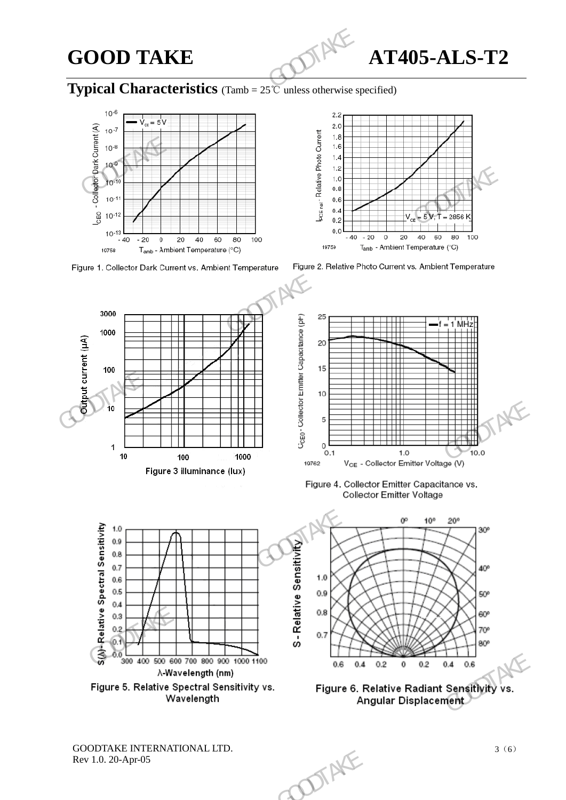GOOD TAKE **AT405-ALS-T2** 

## **Typical Characteristics** (Tamb = 25℃ unless otherwise specified)